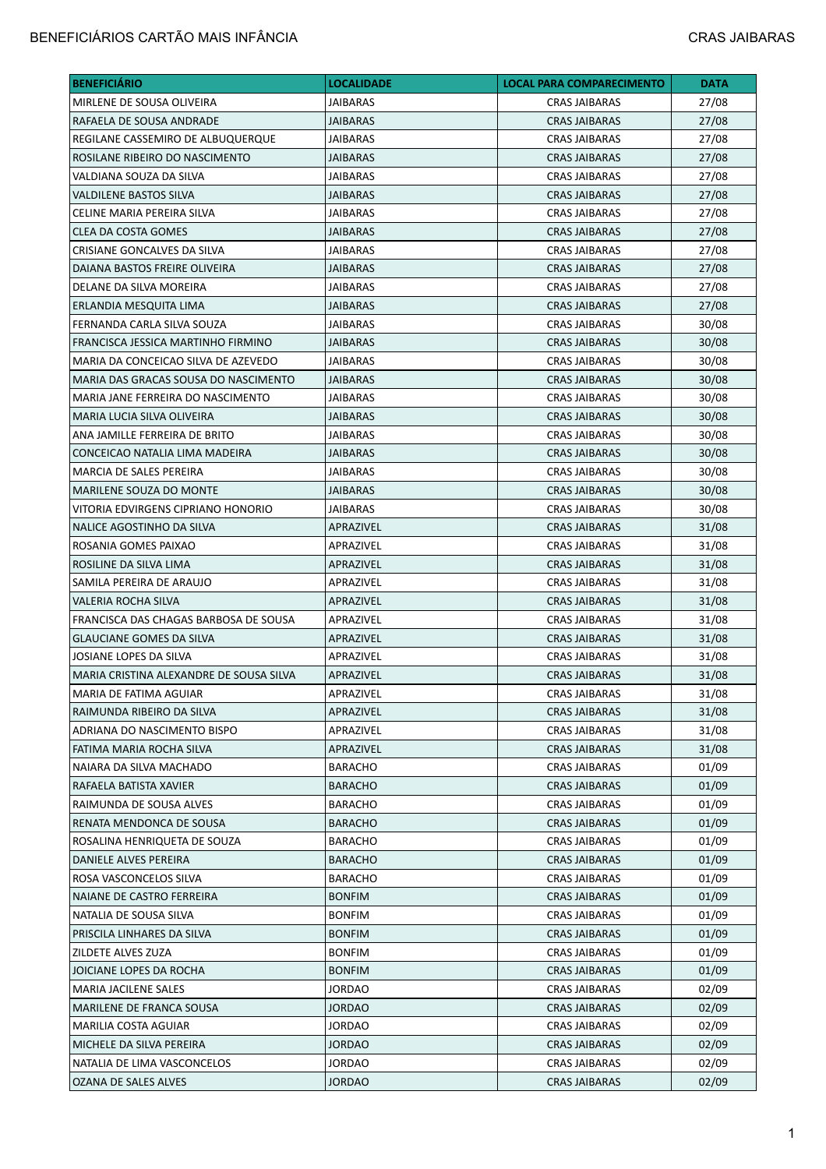## BENEFICIÁRIOS CARTÃO MAIS INFÂNCIA CRAS JAIBARAS

| <b>BENEFICIÁRIO</b>                     | <b>LOCALIDADE</b> | <b>LOCAL PARA COMPARECIMENTO</b> | <b>DATA</b> |
|-----------------------------------------|-------------------|----------------------------------|-------------|
| MIRLENE DE SOUSA OLIVEIRA               | <b>JAIBARAS</b>   | <b>CRAS JAIBARAS</b>             | 27/08       |
| RAFAELA DE SOUSA ANDRADE                | <b>JAIBARAS</b>   | <b>CRAS JAIBARAS</b>             | 27/08       |
| REGILANE CASSEMIRO DE ALBUQUERQUE       | <b>JAIBARAS</b>   | <b>CRAS JAIBARAS</b>             | 27/08       |
| ROSILANE RIBEIRO DO NASCIMENTO          | <b>JAIBARAS</b>   | <b>CRAS JAIBARAS</b>             | 27/08       |
| VALDIANA SOUZA DA SILVA                 | JAIBARAS          | <b>CRAS JAIBARAS</b>             | 27/08       |
| <b>VALDILENE BASTOS SILVA</b>           | JAIBARAS          | <b>CRAS JAIBARAS</b>             | 27/08       |
| CELINE MARIA PEREIRA SILVA              | <b>JAIBARAS</b>   | <b>CRAS JAIBARAS</b>             | 27/08       |
| <b>CLEA DA COSTA GOMES</b>              | JAIBARAS          | <b>CRAS JAIBARAS</b>             | 27/08       |
| CRISIANE GONCALVES DA SILVA             | <b>JAIBARAS</b>   | <b>CRAS JAIBARAS</b>             | 27/08       |
| DAIANA BASTOS FREIRE OLIVEIRA           | <b>JAIBARAS</b>   | <b>CRAS JAIBARAS</b>             | 27/08       |
| DELANE DA SILVA MOREIRA                 | <b>JAIBARAS</b>   | <b>CRAS JAIBARAS</b>             | 27/08       |
| ERLANDIA MESQUITA LIMA                  | JAIBARAS          | <b>CRAS JAIBARAS</b>             | 27/08       |
| FERNANDA CARLA SILVA SOUZA              | <b>JAIBARAS</b>   | <b>CRAS JAIBARAS</b>             | 30/08       |
| FRANCISCA JESSICA MARTINHO FIRMINO      | <b>JAIBARAS</b>   | <b>CRAS JAIBARAS</b>             | 30/08       |
| MARIA DA CONCEICAO SILVA DE AZEVEDO     | JAIBARAS          | <b>CRAS JAIBARAS</b>             | 30/08       |
| MARIA DAS GRACAS SOUSA DO NASCIMENTO    | <b>JAIBARAS</b>   | <b>CRAS JAIBARAS</b>             | 30/08       |
| MARIA JANE FERREIRA DO NASCIMENTO       | JAIBARAS          | <b>CRAS JAIBARAS</b>             | 30/08       |
| MARIA LUCIA SILVA OLIVEIRA              | <b>JAIBARAS</b>   | <b>CRAS JAIBARAS</b>             | 30/08       |
| ANA JAMILLE FERREIRA DE BRITO           | <b>JAIBARAS</b>   | <b>CRAS JAIBARAS</b>             | 30/08       |
| CONCEICAO NATALIA LIMA MADEIRA          | <b>JAIBARAS</b>   | <b>CRAS JAIBARAS</b>             | 30/08       |
| MARCIA DE SALES PEREIRA                 | JAIBARAS          | CRAS JAIBARAS                    | 30/08       |
| MARILENE SOUZA DO MONTE                 | <b>JAIBARAS</b>   | <b>CRAS JAIBARAS</b>             | 30/08       |
| VITORIA EDVIRGENS CIPRIANO HONORIO      | <b>JAIBARAS</b>   | <b>CRAS JAIBARAS</b>             | 30/08       |
| NALICE AGOSTINHO DA SILVA               | APRAZIVEL         | <b>CRAS JAIBARAS</b>             | 31/08       |
| ROSANIA GOMES PAIXAO                    | APRAZIVEL         | <b>CRAS JAIBARAS</b>             | 31/08       |
| ROSILINE DA SILVA LIMA                  | APRAZIVEL         | <b>CRAS JAIBARAS</b>             | 31/08       |
| SAMILA PEREIRA DE ARAUJO                | APRAZIVEL         | <b>CRAS JAIBARAS</b>             | 31/08       |
| VALERIA ROCHA SILVA                     | APRAZIVEL         | <b>CRAS JAIBARAS</b>             | 31/08       |
| FRANCISCA DAS CHAGAS BARBOSA DE SOUSA   | APRAZIVEL         | CRAS JAIBARAS                    | 31/08       |
| <b>GLAUCIANE GOMES DA SILVA</b>         | APRAZIVEL         | <b>CRAS JAIBARAS</b>             | 31/08       |
| JOSIANE LOPES DA SILVA                  | APRAZIVEL         | <b>CRAS JAIBARAS</b>             | 31/08       |
| MARIA CRISTINA ALEXANDRE DE SOUSA SILVA | APRAZIVEL         | <b>CRAS JAIBARAS</b>             | 31/08       |
| MARIA DE FATIMA AGUIAR                  | APRAZIVEL         | <b>CRAS JAIBARAS</b>             | 31/08       |
| RAIMUNDA RIBEIRO DA SILVA               | APRAZIVEL         | <b>CRAS JAIBARAS</b>             | 31/08       |
| ADRIANA DO NASCIMENTO BISPO             | APRAZIVEL         | CRAS JAIBARAS                    | 31/08       |
| FATIMA MARIA ROCHA SILVA                | APRAZIVEL         | <b>CRAS JAIBARAS</b>             | 31/08       |
| NAIARA DA SILVA MACHADO                 | BARACHO           | <b>CRAS JAIBARAS</b>             | 01/09       |
| RAFAELA BATISTA XAVIER                  | <b>BARACHO</b>    | <b>CRAS JAIBARAS</b>             | 01/09       |
| RAIMUNDA DE SOUSA ALVES                 | BARACHO           | <b>CRAS JAIBARAS</b>             | 01/09       |
| RENATA MENDONCA DE SOUSA                | <b>BARACHO</b>    | <b>CRAS JAIBARAS</b>             | 01/09       |
| ROSALINA HENRIQUETA DE SOUZA            | <b>BARACHO</b>    | <b>CRAS JAIBARAS</b>             | 01/09       |
| DANIELE ALVES PEREIRA                   | <b>BARACHO</b>    | <b>CRAS JAIBARAS</b>             | 01/09       |
| ROSA VASCONCELOS SILVA                  | <b>BARACHO</b>    | CRAS JAIBARAS                    | 01/09       |
| NAIANE DE CASTRO FERREIRA               | <b>BONFIM</b>     | <b>CRAS JAIBARAS</b>             | 01/09       |
| NATALIA DE SOUSA SILVA                  | <b>BONFIM</b>     | <b>CRAS JAIBARAS</b>             | 01/09       |
| PRISCILA LINHARES DA SILVA              | <b>BONFIM</b>     | <b>CRAS JAIBARAS</b>             | 01/09       |
| ZILDETE ALVES ZUZA                      | <b>BONFIM</b>     | <b>CRAS JAIBARAS</b>             | 01/09       |
| JOICIANE LOPES DA ROCHA                 | <b>BONFIM</b>     | <b>CRAS JAIBARAS</b>             | 01/09       |
| <b>MARIA JACILENE SALES</b>             | JORDAO            | CRAS JAIBARAS                    | 02/09       |
| MARILENE DE FRANCA SOUSA                | <b>JORDAO</b>     | <b>CRAS JAIBARAS</b>             | 02/09       |
| MARILIA COSTA AGUIAR                    | <b>JORDAO</b>     | <b>CRAS JAIBARAS</b>             | 02/09       |
| MICHELE DA SILVA PEREIRA                | <b>JORDAO</b>     | <b>CRAS JAIBARAS</b>             | 02/09       |
| NATALIA DE LIMA VASCONCELOS             | JORDAO            | CRAS JAIBARAS                    | 02/09       |
| OZANA DE SALES ALVES                    | <b>JORDAO</b>     | <b>CRAS JAIBARAS</b>             | 02/09       |